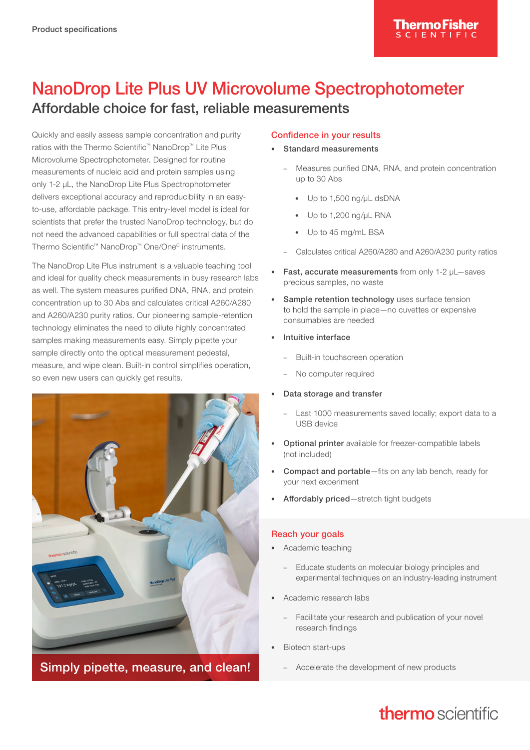# NanoDrop Lite Plus UV Microvolume Spectrophotometer Affordable choice for fast, reliable measurements

Quickly and easily assess sample concentration and purity ratios with the Thermo Scientific™ NanoDrop™ Lite Plus Microvolume Spectrophotometer. Designed for routine measurements of nucleic acid and protein samples using only 1-2 μL, the NanoDrop Lite Plus Spectrophotometer delivers exceptional accuracy and reproducibility in an easyto-use, affordable package. This entry-level model is ideal for scientists that prefer the trusted NanoDrop technology, but do not need the advanced capabilities or full spectral data of the Thermo Scientific™ NanoDrop™ One/One<sup>c</sup> instruments.

The NanoDrop Lite Plus instrument is a valuable teaching tool and ideal for quality check measurements in busy research labs as well. The system measures purified DNA, RNA, and protein concentration up to 30 Abs and calculates critical A260/A280 and A260/A230 purity ratios. Our pioneering sample-retention technology eliminates the need to dilute highly concentrated samples making measurements easy. Simply pipette your sample directly onto the optical measurement pedestal, measure, and wipe clean. Built-in control simplifies operation, so even new users can quickly get results.



Simply pipette, measure, and clean!

## Confidence in your results

- Standard measurements
	- Measures purified DNA, RNA, and protein concentration up to 30 Abs
		- Up to 1,500 ng/µL dsDNA
		- Up to 1,200 ng/µL RNA
		- Up to 45 mg/mL BSA
	- Calculates critical A260/A280 and A260/A230 purity ratios
- Fast, accurate measurements from only 1-2 μL—saves precious samples, no waste
- Sample retention technology uses surface tension to hold the sample in place—no cuvettes or expensive consumables are needed
- Intuitive interface
	- Built-in touchscreen operation
	- No computer required
- Data storage and transfer
	- Last 1000 measurements saved locally; export data to a USB device
- Optional printer available for freezer-compatible labels (not included)
- Compact and portable-fits on any lab bench, ready for your next experiment
- Affordably priced—stretch tight budgets

## Reach your goals

- Academic teaching
	- Educate students on molecular biology principles and experimental techniques on an industry-leading instrument
- Academic research labs
	- Facilitate your research and publication of your novel research findings
- Biotech start-ups
	- Accelerate the development of new products

# thermo scientific